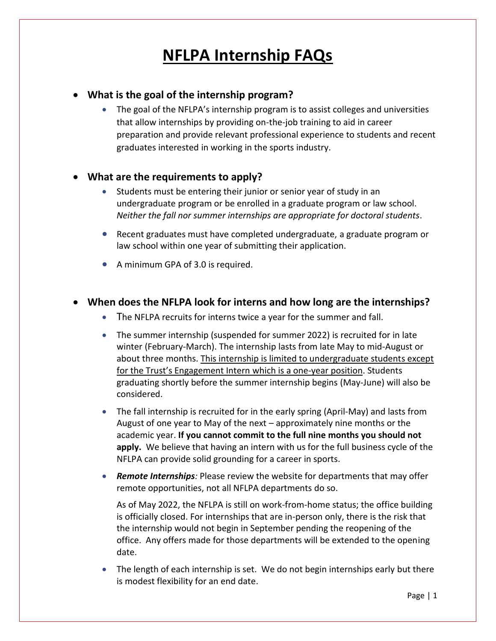# **NFLPA Internship FAQs**

#### • **What is the goal of the internship program?**

• The goal of the NFLPA's internship program is to assist colleges and universities that allow internships by providing on-the-job training to aid in career preparation and provide relevant professional experience to students and recent graduates interested in working in the sports industry.

#### • **What are the requirements to apply?**

- Students must be entering their junior or senior year of study in an undergraduate program or be enrolled in a graduate program or law school. *Neither the fall nor summer internships are appropriate for doctoral students*.
- Recent graduates must have completed undergraduate, a graduate program or law school within one year of submitting their application.
- A minimum GPA of 3.0 is required.

#### • **When does the NFLPA look for interns and how long are the internships?**

- The NFLPA recruits for interns twice a year for the summer and fall.
- The summer internship (suspended for summer 2022) is recruited for in late winter (February-March). The internship lasts from late May to mid-August or about three months. This internship is limited to undergraduate students except for the Trust's Engagement Intern which is a one-year position. Students graduating shortly before the summer internship begins (May-June) will also be considered.
- The fall internship is recruited for in the early spring (April-May) and lasts from August of one year to May of the next – approximately nine months or the academic year. **If you cannot commit to the full nine months you should not apply.** We believe that having an intern with us for the full business cycle of the NFLPA can provide solid grounding for a career in sports.
- *Remote Internships:* Please review the website for departments that may offer remote opportunities, not all NFLPA departments do so.

As of May 2022, the NFLPA is still on work-from-home status; the office building is officially closed. For internships that are in-person only, there is the risk that the internship would not begin in September pending the reopening of the office. Any offers made for those departments will be extended to the opening date.

• The length of each internship is set. We do not begin internships early but there is modest flexibility for an end date.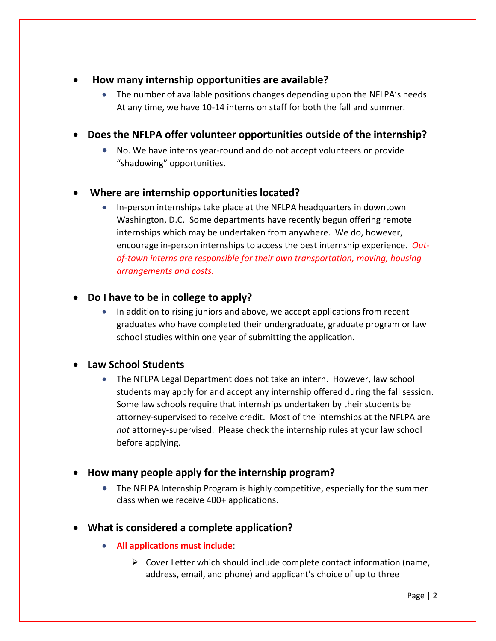- • **How many internship opportunities are available?**
	- The number of available positions changes depending upon the NFLPA's needs. At any time, we have 10-14 interns on staff for both the fall and summer.
- **Does the NFLPA offer volunteer opportunities outside of the internship?**
	- No. We have interns year-round and do not accept volunteers or provide "shadowing" opportunities.

## • **Where are internship opportunities located?**

• In-person internships take place at the NFLPA headquarters in downtown Washington, D.C. Some departments have recently begun offering remote internships which may be undertaken from anywhere. We do, however, encourage in-person internships to access the best internship experience. *Outof-town interns are responsible for their own transportation, moving, housing arrangements and costs.*

#### • **Do I have to be in college to apply?**

• In addition to rising juniors and above, we accept applications from recent graduates who have completed their undergraduate, graduate program or law school studies within one year of submitting the application.

#### • **Law School Students**

• The NFLPA Legal Department does not take an intern. However, law school students may apply for and accept any internship offered during the fall session. Some law schools require that internships undertaken by their students be attorney-supervised to receive credit. Most of the internships at the NFLPA are *not* attorney-supervised. Please check the internship rules at your law school before applying.

#### • **How many people apply for the internship program?**

• The NFLPA Internship Program is highly competitive, especially for the summer class when we receive 400+ applications.

#### • **What is considered a complete application?**

- **All applications must include**:
	- $\triangleright$  Cover Letter which should include complete contact information (name, address, email, and phone) and applicant's choice of up to three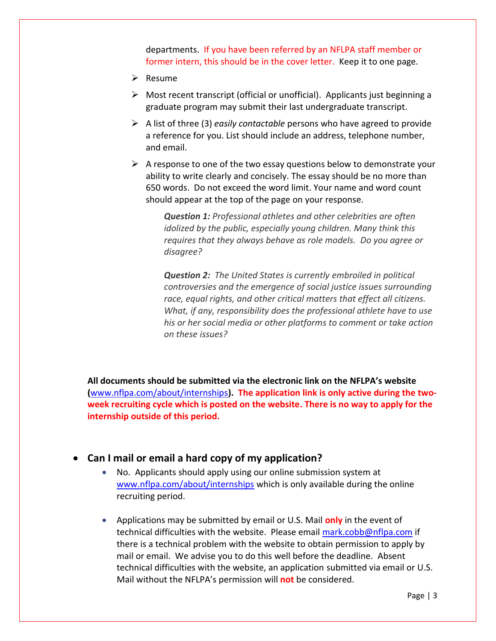departments. If you have been referred by an NFLPA staff member or former intern, this should be in the cover letter. Keep it to one page.

- ➢ Resume
- ➢ Most recent transcript (official or unofficial). Applicants just beginning a graduate program may submit their last undergraduate transcript.
- ➢ A list of three (3) *easily contactable* persons who have agreed to provide a reference for you. List should include an address, telephone number, and email.
- $\triangleright$  A response to one of the two essay questions below to demonstrate your ability to write clearly and concisely. The essay should be no more than 650 words. Do not exceed the word limit. Your name and word count should appear at the top of the page on your response.

*Question 1: Professional athletes and other celebrities are often idolized by the public, especially young children. Many think this requires that they always behave as role models. Do you agree or disagree?*

*Question 2: The United States is currently embroiled in political controversies and the emergence of social justice issues surrounding race, equal rights, and other critical matters that effect all citizens. What, if any, responsibility does the professional athlete have to use his or her social media or other platforms to comment or take action on these issues?*

**All documents should be submitted via the electronic link on the NFLPA's website (**[www.nflpa.com/about/internships](http://www.nflpa.com/about/internships)**). The application link is only active during the twoweek recruiting cycle which is posted on the website. There is no way to apply for the internship outside of this period.** 

#### • **Can I mail or email a hard copy of my application?**

- No. Applicants should apply using our online submission system at [www.nflpa.com/about/internships](http://www.nflpa.com/about/internships) which is only available during the online recruiting period.
- Applications may be submitted by email or U.S. Mail **only** in the event of technical difficulties with the website. Please email [mark.cobb@nflpa.com](mailto:mark.cobb@nflpa.com) if there is a technical problem with the website to obtain permission to apply by mail or email. We advise you to do this well before the deadline. Absent technical difficulties with the website, an application submitted via email or U.S. Mail without the NFLPA's permission will **not** be considered.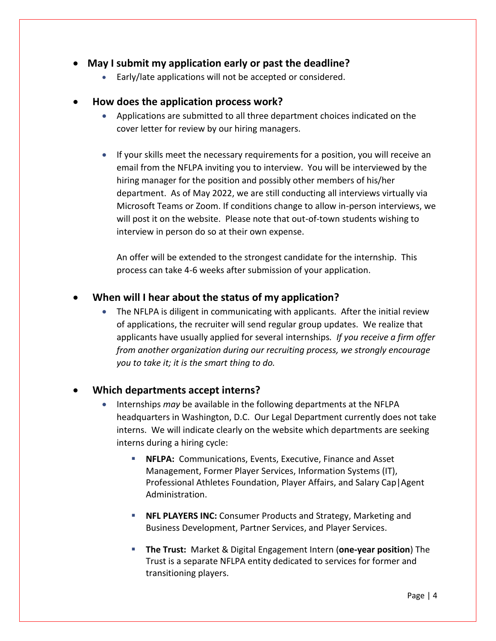## • **May I submit my application early or past the deadline?**

• Early/late applications will not be accepted or considered.

#### • **How does the application process work?**

- Applications are submitted to all three department choices indicated on the cover letter for review by our hiring managers.
- If your skills meet the necessary requirements for a position, you will receive an email from the NFLPA inviting you to interview. You will be interviewed by the hiring manager for the position and possibly other members of his/her department. As of May 2022, we are still conducting all interviews virtually via Microsoft Teams or Zoom. If conditions change to allow in-person interviews, we will post it on the website. Please note that out-of-town students wishing to interview in person do so at their own expense.

An offer will be extended to the strongest candidate for the internship. This process can take 4-6 weeks after submission of your application.

## • **When will I hear about the status of my application?**

• The NFLPA is diligent in communicating with applicants. After the initial review of applications, the recruiter will send regular group updates. We realize that applicants have usually applied for several internships*. If you receive a firm offer from another organization during our recruiting process, we strongly encourage you to take it; it is the smart thing to do.* 

#### • **Which departments accept interns?**

- Internships *may* be available in the following departments at the NFLPA headquarters in Washington, D.C. Our Legal Department currently does not take interns. We will indicate clearly on the website which departments are seeking interns during a hiring cycle:
	- **NFLPA:** Communications, Events, Executive, Finance and Asset Management, Former Player Services, Information Systems (IT), Professional Athletes Foundation, Player Affairs, and Salary Cap|Agent Administration.
	- **E NFL PLAYERS INC:** Consumer Products and Strategy, Marketing and Business Development, Partner Services, and Player Services.
	- **The Trust:** Market & Digital Engagement Intern (**one-year position**) The Trust is a separate NFLPA entity dedicated to services for former and transitioning players.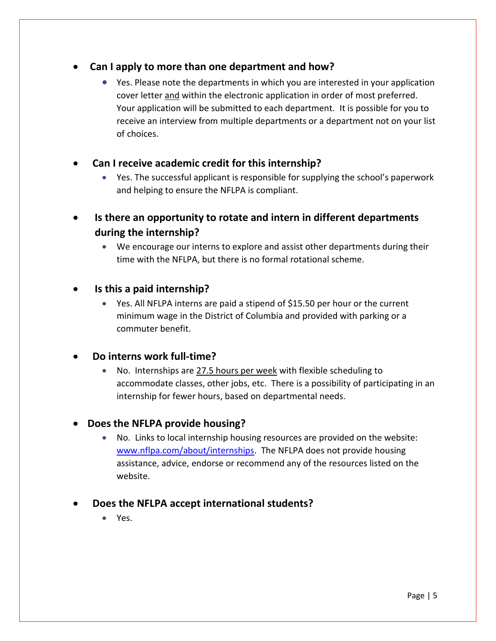## • **Can I apply to more than one department and how?**

• Yes. Please note the departments in which you are interested in your application cover letter and within the electronic application in order of most preferred. Your application will be submitted to each department. It is possible for you to receive an interview from multiple departments or a department not on your list of choices.

## • **Can I receive academic credit for this internship?**

- Yes. The successful applicant is responsible for supplying the school's paperwork and helping to ensure the NFLPA is compliant.
- **Is there an opportunity to rotate and intern in different departments during the internship?**
	- We encourage our interns to explore and assist other departments during their time with the NFLPA, but there is no formal rotational scheme.

## • **Is this a paid internship?**

• Yes. All NFLPA interns are paid a stipend of \$15.50 per hour or the current minimum wage in the District of Columbia and provided with parking or a commuter benefit.

#### • **Do interns work full-time?**

• No. Internships are 27.5 hours per week with flexible scheduling to accommodate classes, other jobs, etc. There is a possibility of participating in an internship for fewer hours, based on departmental needs.

## • **Does the NFLPA provide housing?**

• No. Links to local internship housing resources are provided on the website: [www.nflpa.com/about/internships.](http://www.nflpa.com/about/internships) The NFLPA does not provide housing assistance, advice, endorse or recommend any of the resources listed on the website.

## • **Does the NFLPA accept international students?**

• Yes.